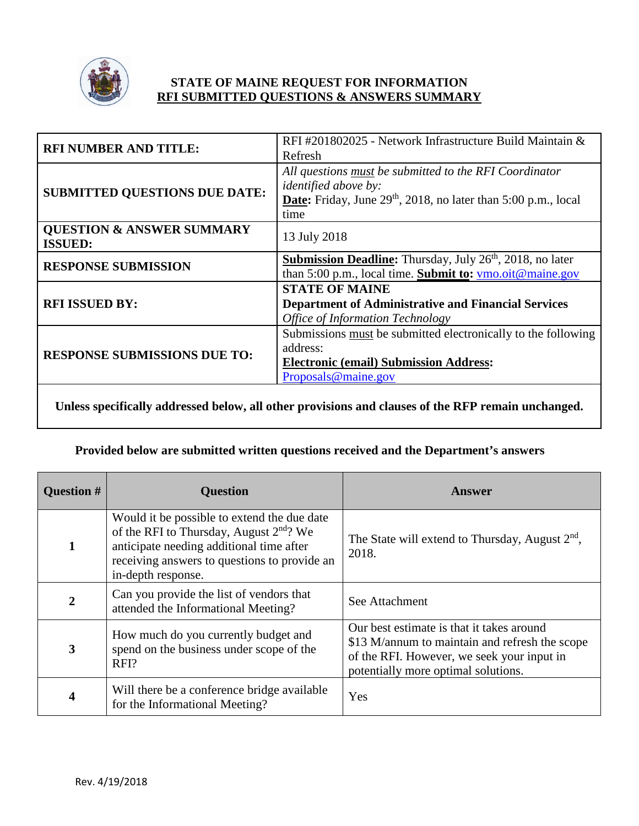

# **STATE OF MAINE REQUEST FOR INFORMATION RFI SUBMITTED QUESTIONS & ANSWERS SUMMARY**

| RFI#201802025 - Network Infrastructure Build Maintain &<br>Refresh                                                                                                       |
|--------------------------------------------------------------------------------------------------------------------------------------------------------------------------|
| All questions must be submitted to the RFI Coordinator<br><i>identified above by:</i><br><b>Date:</b> Friday, June $29th$ , 2018, no later than 5:00 p.m., local<br>time |
| 13 July 2018                                                                                                                                                             |
| <b>Submission Deadline:</b> Thursday, July 26 <sup>th</sup> , 2018, no later<br>than 5:00 p.m., local time. Submit to: ymo.oit@maine.gov                                 |
| <b>STATE OF MAINE</b><br><b>Department of Administrative and Financial Services</b><br><b>Office of Information Technology</b>                                           |
| Submissions must be submitted electronically to the following<br>address:<br><b>Electronic (email) Submission Address:</b><br>Proposals@maine.gov                        |
|                                                                                                                                                                          |

**Unless specifically addressed below, all other provisions and clauses of the RFP remain unchanged.**

# **Provided below are submitted written questions received and the Department's answers**

| <b>Question #</b> | <b>Question</b>                                                                                                                                                                                               | Answer                                                                                                                                                                           |
|-------------------|---------------------------------------------------------------------------------------------------------------------------------------------------------------------------------------------------------------|----------------------------------------------------------------------------------------------------------------------------------------------------------------------------------|
| $\mathbf{1}$      | Would it be possible to extend the due date<br>of the RFI to Thursday, August $2^{nd}$ ? We<br>anticipate needing additional time after<br>receiving answers to questions to provide an<br>in-depth response. | The State will extend to Thursday, August $2nd$ ,<br>2018.                                                                                                                       |
| $\boldsymbol{2}$  | Can you provide the list of vendors that<br>attended the Informational Meeting?                                                                                                                               | See Attachment                                                                                                                                                                   |
| 3                 | How much do you currently budget and<br>spend on the business under scope of the<br>RFI?                                                                                                                      | Our best estimate is that it takes around<br>\$13 M/annum to maintain and refresh the scope<br>of the RFI. However, we seek your input in<br>potentially more optimal solutions. |
| 4                 | Will there be a conference bridge available<br>for the Informational Meeting?                                                                                                                                 | Yes                                                                                                                                                                              |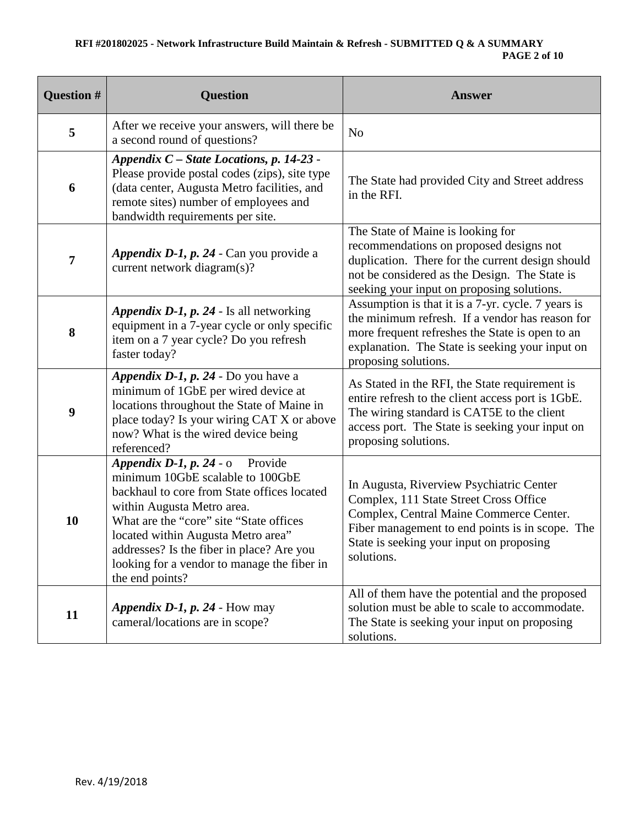# **RFI #201802025 - Network Infrastructure Build Maintain & Refresh - SUBMITTED Q & A SUMMARY PAGE 2 of 10**

| Question # | <b>Question</b>                                                                                                                                                                                                                                                                                                                                   | <b>Answer</b>                                                                                                                                                                                                                              |
|------------|---------------------------------------------------------------------------------------------------------------------------------------------------------------------------------------------------------------------------------------------------------------------------------------------------------------------------------------------------|--------------------------------------------------------------------------------------------------------------------------------------------------------------------------------------------------------------------------------------------|
| 5          | After we receive your answers, will there be<br>a second round of questions?                                                                                                                                                                                                                                                                      | N <sub>o</sub>                                                                                                                                                                                                                             |
| 6          | Appendix C - State Locations, p. 14-23 -<br>Please provide postal codes (zips), site type<br>(data center, Augusta Metro facilities, and<br>remote sites) number of employees and<br>bandwidth requirements per site.                                                                                                                             | The State had provided City and Street address<br>in the RFI.                                                                                                                                                                              |
| 7          | Appendix D-1, p. 24 - Can you provide a<br>current network diagram(s)?                                                                                                                                                                                                                                                                            | The State of Maine is looking for<br>recommendations on proposed designs not<br>duplication. There for the current design should<br>not be considered as the Design. The State is<br>seeking your input on proposing solutions.            |
| 8          | Appendix D-1, p. 24 - Is all networking<br>equipment in a 7-year cycle or only specific<br>item on a 7 year cycle? Do you refresh<br>faster today?                                                                                                                                                                                                | Assumption is that it is a 7-yr. cycle. 7 years is<br>the minimum refresh. If a vendor has reason for<br>more frequent refreshes the State is open to an<br>explanation. The State is seeking your input on<br>proposing solutions.        |
| 9          | Appendix D-1, p. 24 - Do you have a<br>minimum of 1GbE per wired device at<br>locations throughout the State of Maine in<br>place today? Is your wiring CAT X or above<br>now? What is the wired device being<br>referenced?                                                                                                                      | As Stated in the RFI, the State requirement is<br>entire refresh to the client access port is 1GbE.<br>The wiring standard is CAT5E to the client<br>access port. The State is seeking your input on<br>proposing solutions.               |
| 10         | Appendix D-1, p. 24 - o Provide<br>minimum 10GbE scalable to 100GbE<br>backhaul to core from State offices located<br>within Augusta Metro area.<br>What are the "core" site "State offices"<br>located within Augusta Metro area"<br>addresses? Is the fiber in place? Are you<br>looking for a vendor to manage the fiber in<br>the end points? | In Augusta, Riverview Psychiatric Center<br>Complex, 111 State Street Cross Office<br>Complex, Central Maine Commerce Center.<br>Fiber management to end points is in scope. The<br>State is seeking your input on proposing<br>solutions. |
| 11         | Appendix D-1, $p. 24$ - How may<br>cameral/locations are in scope?                                                                                                                                                                                                                                                                                | All of them have the potential and the proposed<br>solution must be able to scale to accommodate.<br>The State is seeking your input on proposing<br>solutions.                                                                            |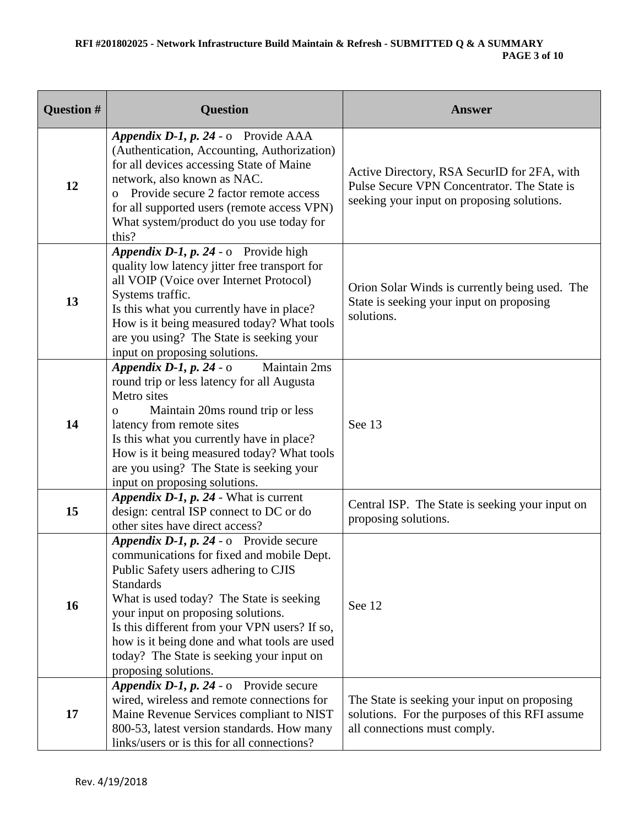| <b>Question #</b> | <b>Question</b>                                                                                                                                                                                                                                                                                                                                                                                         | <b>Answer</b>                                                                                                                            |
|-------------------|---------------------------------------------------------------------------------------------------------------------------------------------------------------------------------------------------------------------------------------------------------------------------------------------------------------------------------------------------------------------------------------------------------|------------------------------------------------------------------------------------------------------------------------------------------|
| 12                | Appendix D-1, p. 24 - o Provide AAA<br>(Authentication, Accounting, Authorization)<br>for all devices accessing State of Maine<br>network, also known as NAC.<br>Provide secure 2 factor remote access<br>$\Omega$<br>for all supported users (remote access VPN)<br>What system/product do you use today for<br>this?                                                                                  | Active Directory, RSA SecurID for 2FA, with<br>Pulse Secure VPN Concentrator. The State is<br>seeking your input on proposing solutions. |
| 13                | Appendix D-1, p. 24 - o Provide high<br>quality low latency jitter free transport for<br>all VOIP (Voice over Internet Protocol)<br>Systems traffic.<br>Is this what you currently have in place?<br>How is it being measured today? What tools<br>are you using? The State is seeking your<br>input on proposing solutions.                                                                            | Orion Solar Winds is currently being used. The<br>State is seeking your input on proposing<br>solutions.                                 |
| 14                | Maintain 2ms<br>Appendix D-1, p. 24 - $\circ$<br>round trip or less latency for all Augusta<br>Metro sites<br>Maintain 20ms round trip or less<br>$\mathbf{O}$<br>latency from remote sites<br>Is this what you currently have in place?<br>How is it being measured today? What tools<br>are you using? The State is seeking your<br>input on proposing solutions.                                     | See 13                                                                                                                                   |
| 15                | Appendix D-1, p. 24 - What is current<br>design: central ISP connect to DC or do<br>other sites have direct access?                                                                                                                                                                                                                                                                                     | Central ISP. The State is seeking your input on<br>proposing solutions.                                                                  |
| 16                | Appendix D-1, p. 24 - o Provide secure<br>communications for fixed and mobile Dept.<br>Public Safety users adhering to CJIS<br><b>Standards</b><br>What is used today? The State is seeking<br>your input on proposing solutions.<br>Is this different from your VPN users? If so,<br>how is it being done and what tools are used<br>today? The State is seeking your input on<br>proposing solutions. | See 12                                                                                                                                   |
| 17                | Appendix D-1, p. 24 - o Provide secure<br>wired, wireless and remote connections for<br>Maine Revenue Services compliant to NIST<br>800-53, latest version standards. How many<br>links/users or is this for all connections?                                                                                                                                                                           | The State is seeking your input on proposing<br>solutions. For the purposes of this RFI assume<br>all connections must comply.           |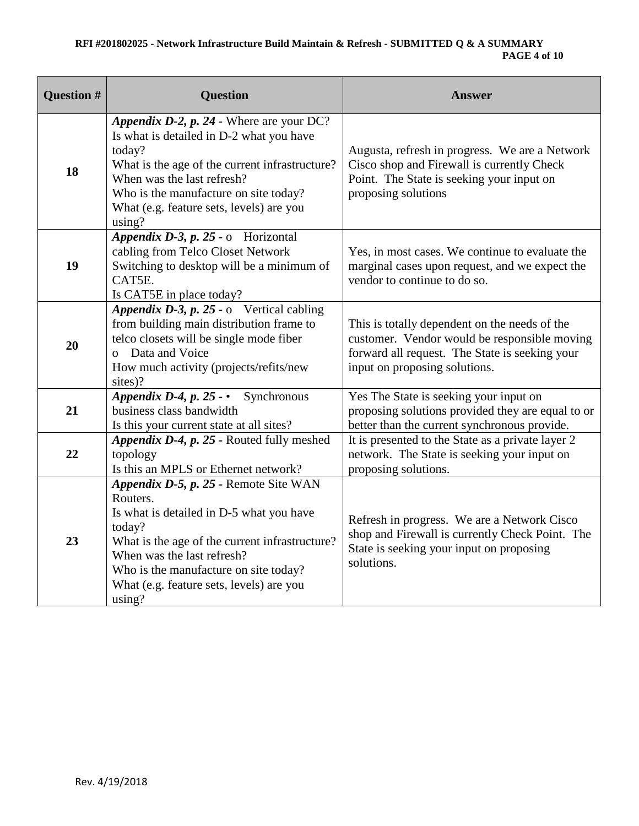# **RFI #201802025 - Network Infrastructure Build Maintain & Refresh - SUBMITTED Q & A SUMMARY PAGE 4 of 10**

| <b>Question #</b> | <b>Question</b>                                                                                                                                                                                                                                                                        | <b>Answer</b>                                                                                                                                                                    |
|-------------------|----------------------------------------------------------------------------------------------------------------------------------------------------------------------------------------------------------------------------------------------------------------------------------------|----------------------------------------------------------------------------------------------------------------------------------------------------------------------------------|
| 18                | Appendix D-2, p. 24 - Where are your DC?<br>Is what is detailed in D-2 what you have<br>today?<br>What is the age of the current infrastructure?<br>When was the last refresh?<br>Who is the manufacture on site today?<br>What (e.g. feature sets, levels) are you<br>using?          | Augusta, refresh in progress. We are a Network<br>Cisco shop and Firewall is currently Check<br>Point. The State is seeking your input on<br>proposing solutions                 |
| 19                | Appendix D-3, p. 25 - o Horizontal<br>cabling from Telco Closet Network<br>Switching to desktop will be a minimum of<br>CAT5E.<br>Is CAT5E in place today?                                                                                                                             | Yes, in most cases. We continue to evaluate the<br>marginal cases upon request, and we expect the<br>vendor to continue to do so.                                                |
| 20                | Appendix D-3, p. 25 - $\circ$ Vertical cabling<br>from building main distribution frame to<br>telco closets will be single mode fiber<br>Data and Voice<br>How much activity (projects/refits/new<br>sites)?                                                                           | This is totally dependent on the needs of the<br>customer. Vendor would be responsible moving<br>forward all request. The State is seeking your<br>input on proposing solutions. |
| 21                | Appendix D-4, p. 25 - • Synchronous<br>business class bandwidth<br>Is this your current state at all sites?                                                                                                                                                                            | Yes The State is seeking your input on<br>proposing solutions provided they are equal to or<br>better than the current synchronous provide.                                      |
| 22                | Appendix D-4, p. 25 - Routed fully meshed<br>topology<br>Is this an MPLS or Ethernet network?                                                                                                                                                                                          | It is presented to the State as a private layer 2<br>network. The State is seeking your input on<br>proposing solutions.                                                         |
| 23                | Appendix D-5, p. 25 - Remote Site WAN<br>Routers.<br>Is what is detailed in D-5 what you have<br>today?<br>What is the age of the current infrastructure?<br>When was the last refresh?<br>Who is the manufacture on site today?<br>What (e.g. feature sets, levels) are you<br>using? | Refresh in progress. We are a Network Cisco<br>shop and Firewall is currently Check Point. The<br>State is seeking your input on proposing<br>solutions.                         |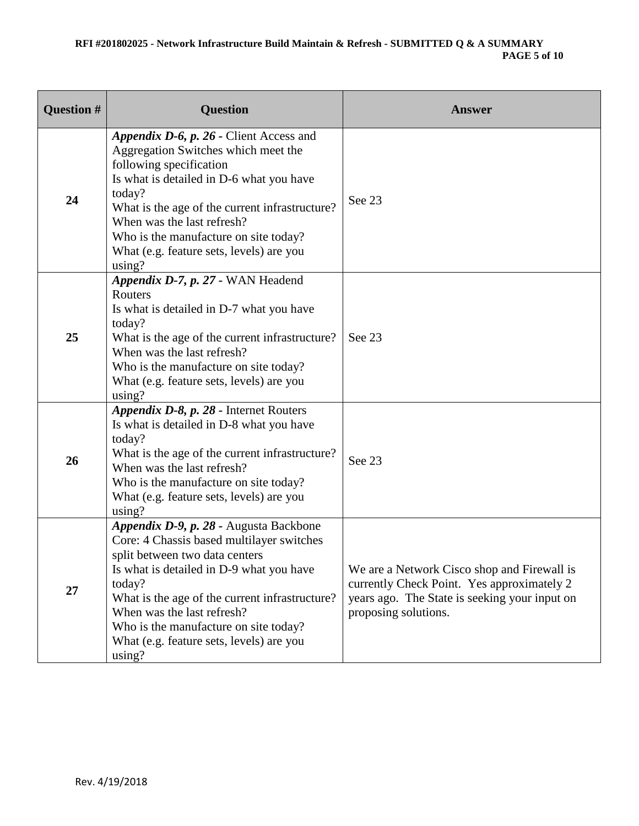### **RFI #201802025 - Network Infrastructure Build Maintain & Refresh - SUBMITTED Q & A SUMMARY PAGE 5 of 10**

| <b>Question #</b> | <b>Question</b>                                                                                                                                                                                                                                                                                                                                            | <b>Answer</b>                                                                                                                                                      |
|-------------------|------------------------------------------------------------------------------------------------------------------------------------------------------------------------------------------------------------------------------------------------------------------------------------------------------------------------------------------------------------|--------------------------------------------------------------------------------------------------------------------------------------------------------------------|
| 24                | Appendix D-6, p. 26 - Client Access and<br>Aggregation Switches which meet the<br>following specification<br>Is what is detailed in D-6 what you have<br>today?<br>What is the age of the current infrastructure?<br>When was the last refresh?<br>Who is the manufacture on site today?<br>What (e.g. feature sets, levels) are you<br>using?             | See 23                                                                                                                                                             |
| 25                | Appendix D-7, p. 27 - WAN Headend<br>Routers<br>Is what is detailed in D-7 what you have<br>today?<br>What is the age of the current infrastructure?<br>When was the last refresh?<br>Who is the manufacture on site today?<br>What (e.g. feature sets, levels) are you<br>using?                                                                          | See 23                                                                                                                                                             |
| 26                | Appendix D-8, p. 28 - Internet Routers<br>Is what is detailed in D-8 what you have<br>today?<br>What is the age of the current infrastructure?<br>When was the last refresh?<br>Who is the manufacture on site today?<br>What (e.g. feature sets, levels) are you<br>using?                                                                                | See 23                                                                                                                                                             |
| 27                | Appendix D-9, p. 28 - Augusta Backbone<br>Core: 4 Chassis based multilayer switches<br>split between two data centers<br>Is what is detailed in D-9 what you have<br>today?<br>What is the age of the current infrastructure?<br>When was the last refresh?<br>Who is the manufacture on site today?<br>What (e.g. feature sets, levels) are you<br>using? | We are a Network Cisco shop and Firewall is<br>currently Check Point. Yes approximately 2<br>years ago. The State is seeking your input on<br>proposing solutions. |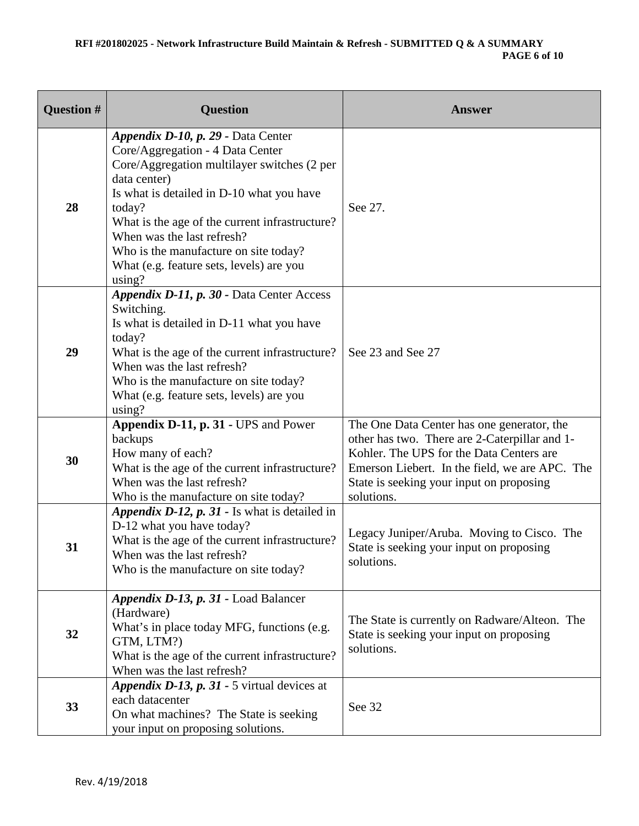### **RFI #201802025 - Network Infrastructure Build Maintain & Refresh - SUBMITTED Q & A SUMMARY PAGE 6 of 10**

| Question # | <b>Question</b>                                                                                                                                                                                                                                                                                                                                                             | <b>Answer</b>                                                                                                                                                                                                                                       |
|------------|-----------------------------------------------------------------------------------------------------------------------------------------------------------------------------------------------------------------------------------------------------------------------------------------------------------------------------------------------------------------------------|-----------------------------------------------------------------------------------------------------------------------------------------------------------------------------------------------------------------------------------------------------|
| 28         | Appendix D-10, p. 29 - Data Center<br>Core/Aggregation - 4 Data Center<br>Core/Aggregation multilayer switches (2 per<br>data center)<br>Is what is detailed in D-10 what you have<br>today?<br>What is the age of the current infrastructure?<br>When was the last refresh?<br>Who is the manufacture on site today?<br>What (e.g. feature sets, levels) are you<br>using? | See 27.                                                                                                                                                                                                                                             |
| 29         | Appendix D-11, p. 30 - Data Center Access<br>Switching.<br>Is what is detailed in D-11 what you have<br>today?<br>What is the age of the current infrastructure?<br>When was the last refresh?<br>Who is the manufacture on site today?<br>What (e.g. feature sets, levels) are you<br>using?                                                                               | See 23 and See 27                                                                                                                                                                                                                                   |
| 30         | Appendix D-11, p. 31 - UPS and Power<br>backups<br>How many of each?<br>What is the age of the current infrastructure?<br>When was the last refresh?<br>Who is the manufacture on site today?                                                                                                                                                                               | The One Data Center has one generator, the<br>other has two. There are 2-Caterpillar and 1-<br>Kohler. The UPS for the Data Centers are<br>Emerson Liebert. In the field, we are APC. The<br>State is seeking your input on proposing<br>solutions. |
| 31         | Appendix $D-12$ , $p. 31$ - Is what is detailed in<br>D-12 what you have today?<br>What is the age of the current infrastructure?<br>When was the last refresh?<br>Who is the manufacture on site today?                                                                                                                                                                    | Legacy Juniper/Aruba. Moving to Cisco. The<br>State is seeking your input on proposing<br>solutions.                                                                                                                                                |
| 32         | Appendix D-13, p. 31 - Load Balancer<br>(Hardware)<br>What's in place today MFG, functions (e.g.<br>GTM, LTM?)<br>What is the age of the current infrastructure?<br>When was the last refresh?                                                                                                                                                                              | The State is currently on Radware/Alteon. The<br>State is seeking your input on proposing<br>solutions.                                                                                                                                             |
| 33         | Appendix D-13, p. 31 - 5 virtual devices at<br>each datacenter<br>On what machines? The State is seeking<br>your input on proposing solutions.                                                                                                                                                                                                                              | See 32                                                                                                                                                                                                                                              |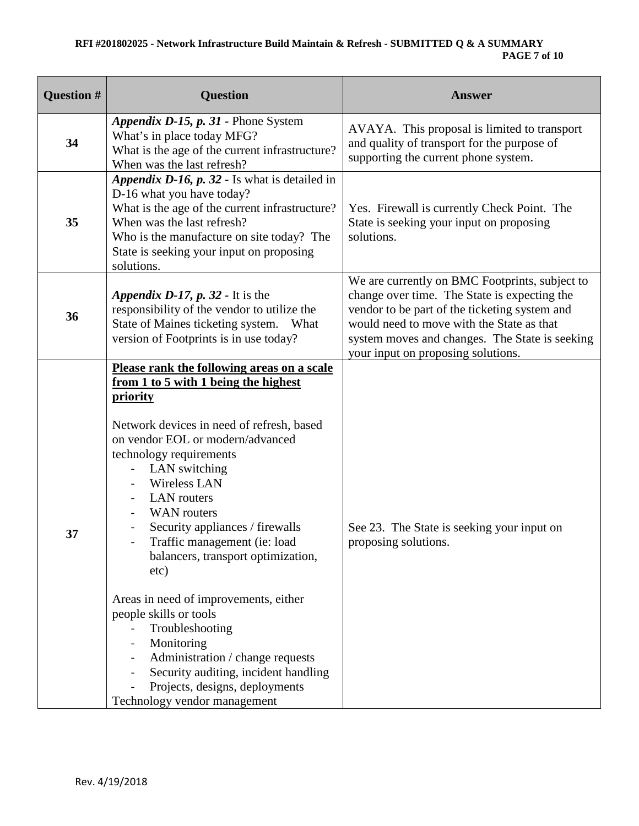# **RFI #201802025 - Network Infrastructure Build Maintain & Refresh - SUBMITTED Q & A SUMMARY PAGE 7 of 10**

| Question # | <b>Question</b>                                                                                                                                                                                                                                                                                                                                                                                                                                                                                                                                                                                                                                                          | <b>Answer</b>                                                                                                                                                                                                                                                                        |
|------------|--------------------------------------------------------------------------------------------------------------------------------------------------------------------------------------------------------------------------------------------------------------------------------------------------------------------------------------------------------------------------------------------------------------------------------------------------------------------------------------------------------------------------------------------------------------------------------------------------------------------------------------------------------------------------|--------------------------------------------------------------------------------------------------------------------------------------------------------------------------------------------------------------------------------------------------------------------------------------|
| 34         | Appendix D-15, p. 31 - Phone System<br>What's in place today MFG?<br>What is the age of the current infrastructure?<br>When was the last refresh?                                                                                                                                                                                                                                                                                                                                                                                                                                                                                                                        | AVAYA. This proposal is limited to transport<br>and quality of transport for the purpose of<br>supporting the current phone system.                                                                                                                                                  |
| 35         | Appendix D-16, p. 32 - Is what is detailed in<br>D-16 what you have today?<br>What is the age of the current infrastructure?<br>When was the last refresh?<br>Who is the manufacture on site today? The<br>State is seeking your input on proposing<br>solutions.                                                                                                                                                                                                                                                                                                                                                                                                        | Yes. Firewall is currently Check Point. The<br>State is seeking your input on proposing<br>solutions.                                                                                                                                                                                |
| 36         | Appendix D-17, $p. 32$ - It is the<br>responsibility of the vendor to utilize the<br>State of Maines ticketing system. What<br>version of Footprints is in use today?                                                                                                                                                                                                                                                                                                                                                                                                                                                                                                    | We are currently on BMC Footprints, subject to<br>change over time. The State is expecting the<br>vendor to be part of the ticketing system and<br>would need to move with the State as that<br>system moves and changes. The State is seeking<br>your input on proposing solutions. |
| 37         | Please rank the following areas on a scale<br>from 1 to 5 with 1 being the highest<br><b>priority</b><br>Network devices in need of refresh, based<br>on vendor EOL or modern/advanced<br>technology requirements<br>LAN switching<br><b>Wireless LAN</b><br><b>LAN</b> routers<br><b>WAN</b> routers<br>Security appliances / firewalls<br>Traffic management (ie: load<br>balancers, transport optimization,<br>etc)<br>Areas in need of improvements, either<br>people skills or tools<br>Troubleshooting<br>Monitoring<br>Administration / change requests<br>Security auditing, incident handling<br>Projects, designs, deployments<br>Technology vendor management | See 23. The State is seeking your input on<br>proposing solutions.                                                                                                                                                                                                                   |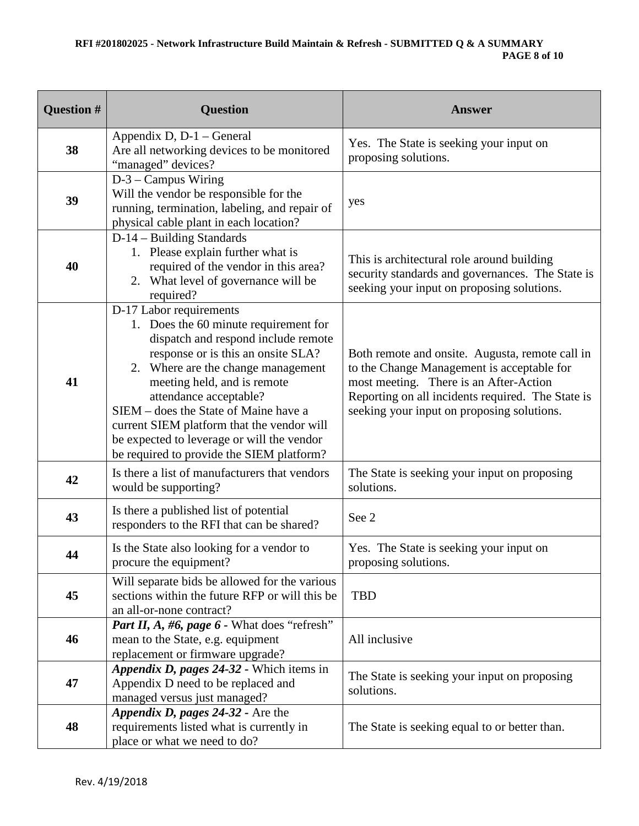# **RFI #201802025 - Network Infrastructure Build Maintain & Refresh - SUBMITTED Q & A SUMMARY PAGE 8 of 10**

| Question # | <b>Question</b>                                                                                                                                                                                                                                                                                                                                                                                                                | <b>Answer</b>                                                                                                                                                                                                                              |
|------------|--------------------------------------------------------------------------------------------------------------------------------------------------------------------------------------------------------------------------------------------------------------------------------------------------------------------------------------------------------------------------------------------------------------------------------|--------------------------------------------------------------------------------------------------------------------------------------------------------------------------------------------------------------------------------------------|
| 38         | Appendix D, D-1 – General<br>Are all networking devices to be monitored<br>"managed" devices?                                                                                                                                                                                                                                                                                                                                  | Yes. The State is seeking your input on<br>proposing solutions.                                                                                                                                                                            |
| 39         | $D-3 - Campus$ Wiring<br>Will the vendor be responsible for the<br>running, termination, labeling, and repair of<br>physical cable plant in each location?                                                                                                                                                                                                                                                                     | yes                                                                                                                                                                                                                                        |
| 40         | D-14 - Building Standards<br>1. Please explain further what is<br>required of the vendor in this area?<br>2. What level of governance will be<br>required?                                                                                                                                                                                                                                                                     | This is architectural role around building<br>security standards and governances. The State is<br>seeking your input on proposing solutions.                                                                                               |
| 41         | D-17 Labor requirements<br>1. Does the 60 minute requirement for<br>dispatch and respond include remote<br>response or is this an onsite SLA?<br>2. Where are the change management<br>meeting held, and is remote<br>attendance acceptable?<br>SIEM – does the State of Maine have a<br>current SIEM platform that the vendor will<br>be expected to leverage or will the vendor<br>be required to provide the SIEM platform? | Both remote and onsite. Augusta, remote call in<br>to the Change Management is acceptable for<br>most meeting. There is an After-Action<br>Reporting on all incidents required. The State is<br>seeking your input on proposing solutions. |
| 42         | Is there a list of manufacturers that vendors<br>would be supporting?                                                                                                                                                                                                                                                                                                                                                          | The State is seeking your input on proposing<br>solutions.                                                                                                                                                                                 |
| 43         | Is there a published list of potential<br>responders to the RFI that can be shared?                                                                                                                                                                                                                                                                                                                                            | See 2                                                                                                                                                                                                                                      |
| 44         | Is the State also looking for a vendor to<br>procure the equipment?                                                                                                                                                                                                                                                                                                                                                            | Yes. The State is seeking your input on<br>proposing solutions.                                                                                                                                                                            |
| 45         | Will separate bids be allowed for the various<br>sections within the future RFP or will this be<br>an all-or-none contract?                                                                                                                                                                                                                                                                                                    | <b>TBD</b>                                                                                                                                                                                                                                 |
| 46         | Part II, A, #6, page 6 - What does "refresh"<br>mean to the State, e.g. equipment<br>replacement or firmware upgrade?                                                                                                                                                                                                                                                                                                          | All inclusive                                                                                                                                                                                                                              |
| 47         | Appendix D, pages 24-32 - Which items in<br>Appendix D need to be replaced and<br>managed versus just managed?                                                                                                                                                                                                                                                                                                                 | The State is seeking your input on proposing<br>solutions.                                                                                                                                                                                 |
| 48         | Appendix D, pages 24-32 - Are the<br>requirements listed what is currently in<br>place or what we need to do?                                                                                                                                                                                                                                                                                                                  | The State is seeking equal to or better than.                                                                                                                                                                                              |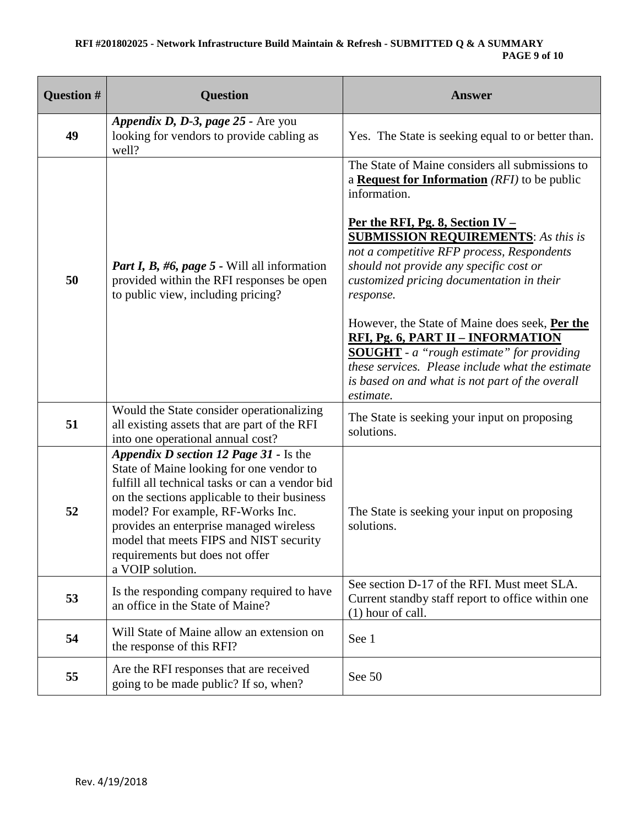# **RFI #201802025 - Network Infrastructure Build Maintain & Refresh - SUBMITTED Q & A SUMMARY PAGE 9 of 10**

| <b>Question #</b> | <b>Question</b>                                                                                                                                                                                                                                                                                                                                                         | <b>Answer</b>                                                                                                                                                                                                                                                                                                                                                                                                                                                                                                                                                                                                                     |
|-------------------|-------------------------------------------------------------------------------------------------------------------------------------------------------------------------------------------------------------------------------------------------------------------------------------------------------------------------------------------------------------------------|-----------------------------------------------------------------------------------------------------------------------------------------------------------------------------------------------------------------------------------------------------------------------------------------------------------------------------------------------------------------------------------------------------------------------------------------------------------------------------------------------------------------------------------------------------------------------------------------------------------------------------------|
| 49                | Appendix D, D-3, page 25 - Are you<br>looking for vendors to provide cabling as<br>well?                                                                                                                                                                                                                                                                                | Yes. The State is seeking equal to or better than.                                                                                                                                                                                                                                                                                                                                                                                                                                                                                                                                                                                |
| 50                | <i>Part I, B, #6, page 5 - Will all information</i><br>provided within the RFI responses be open<br>to public view, including pricing?                                                                                                                                                                                                                                  | The State of Maine considers all submissions to<br>a <b>Request for Information</b> (RFI) to be public<br>information.<br>Per the RFI, Pg. 8, Section IV –<br><b>SUBMISSION REQUIREMENTS:</b> As this is<br>not a competitive RFP process, Respondents<br>should not provide any specific cost or<br>customized pricing documentation in their<br>response.<br>However, the State of Maine does seek, Per the<br><b>RFI, Pg. 6, PART II - INFORMATION</b><br><b>SOUGHT</b> - a "rough estimate" for providing<br>these services. Please include what the estimate<br>is based on and what is not part of the overall<br>estimate. |
| 51                | Would the State consider operationalizing<br>all existing assets that are part of the RFI<br>into one operational annual cost?                                                                                                                                                                                                                                          | The State is seeking your input on proposing<br>solutions.                                                                                                                                                                                                                                                                                                                                                                                                                                                                                                                                                                        |
| 52                | Appendix D section 12 Page 31 - Is the<br>State of Maine looking for one vendor to<br>fulfill all technical tasks or can a vendor bid<br>on the sections applicable to their business<br>model? For example, RF-Works Inc.<br>provides an enterprise managed wireless<br>model that meets FIPS and NIST security<br>requirements but does not offer<br>a VOIP solution. | The State is seeking your input on proposing<br>solutions.                                                                                                                                                                                                                                                                                                                                                                                                                                                                                                                                                                        |
| 53                | Is the responding company required to have<br>an office in the State of Maine?                                                                                                                                                                                                                                                                                          | See section D-17 of the RFI. Must meet SLA.<br>Current standby staff report to office within one<br>$(1)$ hour of call.                                                                                                                                                                                                                                                                                                                                                                                                                                                                                                           |
| 54                | Will State of Maine allow an extension on<br>the response of this RFI?                                                                                                                                                                                                                                                                                                  | See 1                                                                                                                                                                                                                                                                                                                                                                                                                                                                                                                                                                                                                             |
| 55                | Are the RFI responses that are received<br>going to be made public? If so, when?                                                                                                                                                                                                                                                                                        | See 50                                                                                                                                                                                                                                                                                                                                                                                                                                                                                                                                                                                                                            |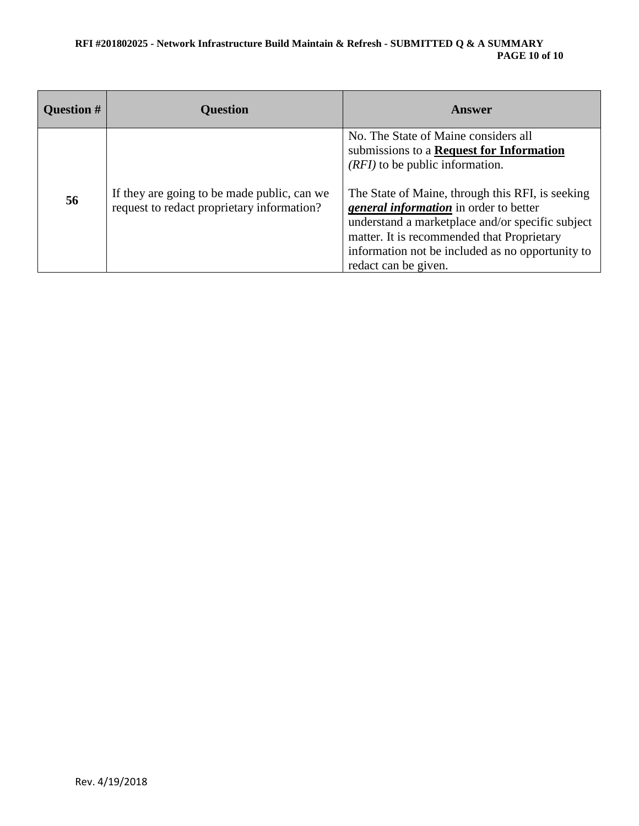#### **RFI #201802025 - Network Infrastructure Build Maintain & Refresh - SUBMITTED Q & A SUMMARY PAGE 10 of 10**

| Question # | <b>Question</b>                                                                           | Answer                                                                                                                                                                                                                                                                                                                                                                                            |
|------------|-------------------------------------------------------------------------------------------|---------------------------------------------------------------------------------------------------------------------------------------------------------------------------------------------------------------------------------------------------------------------------------------------------------------------------------------------------------------------------------------------------|
| 56         | If they are going to be made public, can we<br>request to redact proprietary information? | No. The State of Maine considers all<br>submissions to a Request for Information<br>$(RFI)$ to be public information.<br>The State of Maine, through this RFI, is seeking<br>general information in order to better<br>understand a marketplace and/or specific subject<br>matter. It is recommended that Proprietary<br>information not be included as no opportunity to<br>redact can be given. |